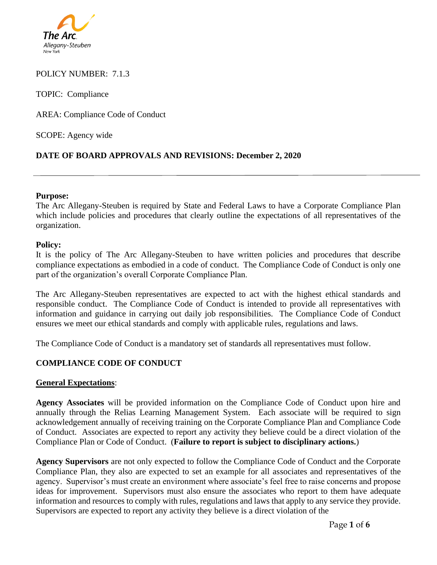

### POLICY NUMBER: 7.1.3

TOPIC: Compliance

AREA: Compliance Code of Conduct

SCOPE: Agency wide

# **DATE OF BOARD APPROVALS AND REVISIONS: December 2, 2020**

#### **Purpose:**

The Arc Allegany-Steuben is required by State and Federal Laws to have a Corporate Compliance Plan which include policies and procedures that clearly outline the expectations of all representatives of the organization.

#### **Policy:**

It is the policy of The Arc Allegany-Steuben to have written policies and procedures that describe compliance expectations as embodied in a code of conduct. The Compliance Code of Conduct is only one part of the organization's overall Corporate Compliance Plan.

The Arc Allegany-Steuben representatives are expected to act with the highest ethical standards and responsible conduct. The Compliance Code of Conduct is intended to provide all representatives with information and guidance in carrying out daily job responsibilities. The Compliance Code of Conduct ensures we meet our ethical standards and comply with applicable rules, regulations and laws.

The Compliance Code of Conduct is a mandatory set of standards all representatives must follow.

# **COMPLIANCE CODE OF CONDUCT**

### **General Expectations**:

**Agency Associates** will be provided information on the Compliance Code of Conduct upon hire and annually through the Relias Learning Management System. Each associate will be required to sign acknowledgement annually of receiving training on the Corporate Compliance Plan and Compliance Code of Conduct. Associates are expected to report any activity they believe could be a direct violation of the Compliance Plan or Code of Conduct. (**Failure to report is subject to disciplinary actions.**)

**Agency Supervisors** are not only expected to follow the Compliance Code of Conduct and the Corporate Compliance Plan, they also are expected to set an example for all associates and representatives of the agency. Supervisor's must create an environment where associate's feel free to raise concerns and propose ideas for improvement. Supervisors must also ensure the associates who report to them have adequate information and resources to comply with rules, regulations and laws that apply to any service they provide. Supervisors are expected to report any activity they believe is a direct violation of the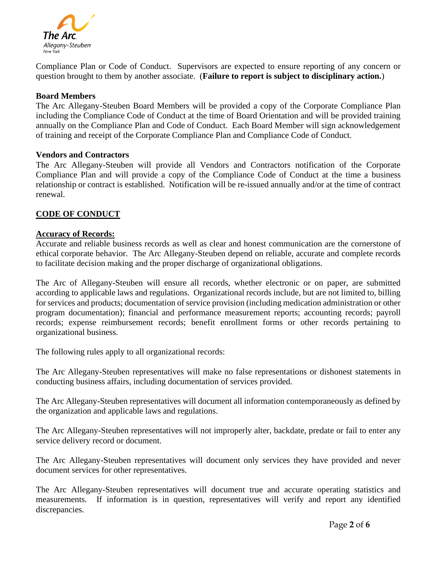

Compliance Plan or Code of Conduct. Supervisors are expected to ensure reporting of any concern or question brought to them by another associate. (**Failure to report is subject to disciplinary action.**)

#### **Board Members**

The Arc Allegany-Steuben Board Members will be provided a copy of the Corporate Compliance Plan including the Compliance Code of Conduct at the time of Board Orientation and will be provided training annually on the Compliance Plan and Code of Conduct. Each Board Member will sign acknowledgement of training and receipt of the Corporate Compliance Plan and Compliance Code of Conduct.

#### **Vendors and Contractors**

The Arc Allegany-Steuben will provide all Vendors and Contractors notification of the Corporate Compliance Plan and will provide a copy of the Compliance Code of Conduct at the time a business relationship or contract is established. Notification will be re-issued annually and/or at the time of contract renewal.

## **CODE OF CONDUCT**

#### **Accuracy of Records:**

Accurate and reliable business records as well as clear and honest communication are the cornerstone of ethical corporate behavior. The Arc Allegany-Steuben depend on reliable, accurate and complete records to facilitate decision making and the proper discharge of organizational obligations.

The Arc of Allegany-Steuben will ensure all records, whether electronic or on paper, are submitted according to applicable laws and regulations. Organizational records include, but are not limited to, billing for services and products; documentation of service provision (including medication administration or other program documentation); financial and performance measurement reports; accounting records; payroll records; expense reimbursement records; benefit enrollment forms or other records pertaining to organizational business.

The following rules apply to all organizational records:

The Arc Allegany-Steuben representatives will make no false representations or dishonest statements in conducting business affairs, including documentation of services provided.

The Arc Allegany-Steuben representatives will document all information contemporaneously as defined by the organization and applicable laws and regulations.

The Arc Allegany-Steuben representatives will not improperly alter, backdate, predate or fail to enter any service delivery record or document.

The Arc Allegany-Steuben representatives will document only services they have provided and never document services for other representatives.

The Arc Allegany-Steuben representatives will document true and accurate operating statistics and measurements. If information is in question, representatives will verify and report any identified discrepancies.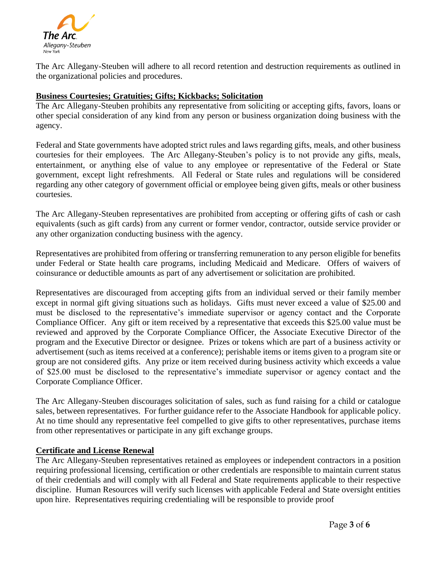

The Arc Allegany-Steuben will adhere to all record retention and destruction requirements as outlined in the organizational policies and procedures.

# **Business Courtesies; Gratuities; Gifts; Kickbacks; Solicitation**

The Arc Allegany-Steuben prohibits any representative from soliciting or accepting gifts, favors, loans or other special consideration of any kind from any person or business organization doing business with the agency.

Federal and State governments have adopted strict rules and laws regarding gifts, meals, and other business courtesies for their employees. The Arc Allegany-Steuben's policy is to not provide any gifts, meals, entertainment, or anything else of value to any employee or representative of the Federal or State government, except light refreshments. All Federal or State rules and regulations will be considered regarding any other category of government official or employee being given gifts, meals or other business courtesies.

The Arc Allegany-Steuben representatives are prohibited from accepting or offering gifts of cash or cash equivalents (such as gift cards) from any current or former vendor, contractor, outside service provider or any other organization conducting business with the agency.

Representatives are prohibited from offering or transferring remuneration to any person eligible for benefits under Federal or State health care programs, including Medicaid and Medicare. Offers of waivers of coinsurance or deductible amounts as part of any advertisement or solicitation are prohibited.

Representatives are discouraged from accepting gifts from an individual served or their family member except in normal gift giving situations such as holidays. Gifts must never exceed a value of \$25.00 and must be disclosed to the representative's immediate supervisor or agency contact and the Corporate Compliance Officer. Any gift or item received by a representative that exceeds this \$25.00 value must be reviewed and approved by the Corporate Compliance Officer, the Associate Executive Director of the program and the Executive Director or designee. Prizes or tokens which are part of a business activity or advertisement (such as items received at a conference); perishable items or items given to a program site or group are not considered gifts. Any prize or item received during business activity which exceeds a value of \$25.00 must be disclosed to the representative's immediate supervisor or agency contact and the Corporate Compliance Officer.

The Arc Allegany-Steuben discourages solicitation of sales, such as fund raising for a child or catalogue sales, between representatives. For further guidance refer to the Associate Handbook for applicable policy. At no time should any representative feel compelled to give gifts to other representatives, purchase items from other representatives or participate in any gift exchange groups.

### **Certificate and License Renewal**

The Arc Allegany-Steuben representatives retained as employees or independent contractors in a position requiring professional licensing, certification or other credentials are responsible to maintain current status of their credentials and will comply with all Federal and State requirements applicable to their respective discipline. Human Resources will verify such licenses with applicable Federal and State oversight entities upon hire. Representatives requiring credentialing will be responsible to provide proof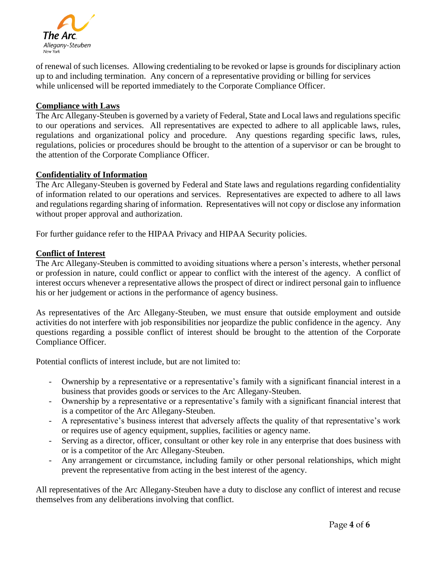

of renewal of such licenses. Allowing credentialing to be revoked or lapse is grounds for disciplinary action up to and including termination. Any concern of a representative providing or billing for services while unlicensed will be reported immediately to the Corporate Compliance Officer.

### **Compliance with Laws**

The Arc Allegany-Steuben is governed by a variety of Federal, State and Local laws and regulations specific to our operations and services. All representatives are expected to adhere to all applicable laws, rules, regulations and organizational policy and procedure. Any questions regarding specific laws, rules, regulations, policies or procedures should be brought to the attention of a supervisor or can be brought to the attention of the Corporate Compliance Officer.

## **Confidentiality of Information**

The Arc Allegany-Steuben is governed by Federal and State laws and regulations regarding confidentiality of information related to our operations and services. Representatives are expected to adhere to all laws and regulations regarding sharing of information. Representatives will not copy or disclose any information without proper approval and authorization.

For further guidance refer to the HIPAA Privacy and HIPAA Security policies.

## **Conflict of Interest**

The Arc Allegany-Steuben is committed to avoiding situations where a person's interests, whether personal or profession in nature, could conflict or appear to conflict with the interest of the agency. A conflict of interest occurs whenever a representative allows the prospect of direct or indirect personal gain to influence his or her judgement or actions in the performance of agency business.

As representatives of the Arc Allegany-Steuben, we must ensure that outside employment and outside activities do not interfere with job responsibilities nor jeopardize the public confidence in the agency. Any questions regarding a possible conflict of interest should be brought to the attention of the Corporate Compliance Officer.

Potential conflicts of interest include, but are not limited to:

- Ownership by a representative or a representative's family with a significant financial interest in a business that provides goods or services to the Arc Allegany-Steuben.
- Ownership by a representative or a representative's family with a significant financial interest that is a competitor of the Arc Allegany-Steuben.
- A representative's business interest that adversely affects the quality of that representative's work or requires use of agency equipment, supplies, facilities or agency name.
- Serving as a director, officer, consultant or other key role in any enterprise that does business with or is a competitor of the Arc Allegany-Steuben.
- Any arrangement or circumstance, including family or other personal relationships, which might prevent the representative from acting in the best interest of the agency.

All representatives of the Arc Allegany-Steuben have a duty to disclose any conflict of interest and recuse themselves from any deliberations involving that conflict.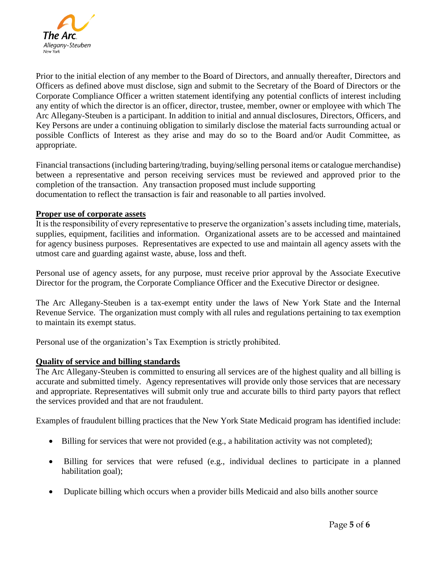

Prior to the initial election of any member to the Board of Directors, and annually thereafter, Directors and Officers as defined above must disclose, sign and submit to the Secretary of the Board of Directors or the Corporate Compliance Officer a written statement identifying any potential conflicts of interest including any entity of which the director is an officer, director, trustee, member, owner or employee with which The Arc Allegany-Steuben is a participant. In addition to initial and annual disclosures, Directors, Officers, and Key Persons are under a continuing obligation to similarly disclose the material facts surrounding actual or possible Conflicts of Interest as they arise and may do so to the Board and/or Audit Committee, as appropriate.

Financial transactions (including bartering/trading, buying/selling personal items or catalogue merchandise) between a representative and person receiving services must be reviewed and approved prior to the completion of the transaction. Any transaction proposed must include supporting documentation to reflect the transaction is fair and reasonable to all parties involved.

## **Proper use of corporate assets**

It is the responsibility of every representative to preserve the organization's assets including time, materials, supplies, equipment, facilities and information. Organizational assets are to be accessed and maintained for agency business purposes. Representatives are expected to use and maintain all agency assets with the utmost care and guarding against waste, abuse, loss and theft.

Personal use of agency assets, for any purpose, must receive prior approval by the Associate Executive Director for the program, the Corporate Compliance Officer and the Executive Director or designee.

The Arc Allegany-Steuben is a tax-exempt entity under the laws of New York State and the Internal Revenue Service. The organization must comply with all rules and regulations pertaining to tax exemption to maintain its exempt status.

Personal use of the organization's Tax Exemption is strictly prohibited.

### **Quality of service and billing standards**

The Arc Allegany-Steuben is committed to ensuring all services are of the highest quality and all billing is accurate and submitted timely. Agency representatives will provide only those services that are necessary and appropriate. Representatives will submit only true and accurate bills to third party payors that reflect the services provided and that are not fraudulent.

Examples of fraudulent billing practices that the New York State Medicaid program has identified include:

- Billing for services that were not provided (e.g., a habilitation activity was not completed);
- Billing for services that were refused (e.g., individual declines to participate in a planned habilitation goal);
- Duplicate billing which occurs when a provider bills Medicaid and also bills another source